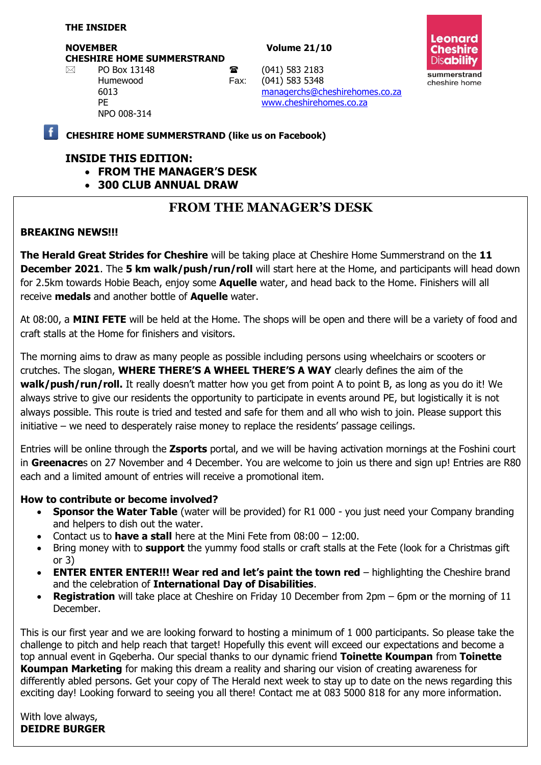#### **THE INSIDER**

**NOVEMBER** Volume 21/10 **CHESHIRE HOME SUMMERSTRAND**

NPO 008-314

 $\boxtimes$  PO Box 13148 **a** (041) 583 2183 Humewood Fax: (041) 583 5348

6013 [managerchs@cheshirehomes.co.za](mailto:managerchs@cheshirehomes.co.za) PE [www.cheshirehomes.co.za](http://www.cheshirehomes.co.za/)



**CHESHIRE HOME SUMMERSTRAND (like us on Facebook)**

#### **INSIDE THIS EDITION:**

- **FROM THE MANAGER'S DESK**
- **300 CLUB ANNUAL DRAW**

### **FROM THE MANAGER'S DESK**

#### **BREAKING NEWS!!!**

**The Herald Great Strides for Cheshire** will be taking place at Cheshire Home Summerstrand on the **11 December 2021**. The **5 km walk/push/run/roll** will start here at the Home, and participants will head down for 2.5km towards Hobie Beach, enjoy some **Aquelle** water, and head back to the Home. Finishers will all receive **medals** and another bottle of **Aquelle** water.

At 08:00, a **MINI FETE** will be held at the Home. The shops will be open and there will be a variety of food and craft stalls at the Home for finishers and visitors.

The morning aims to draw as many people as possible including persons using wheelchairs or scooters or crutches. The slogan, **WHERE THERE'S A WHEEL THERE'S A WAY** clearly defines the aim of the **walk/push/run/roll.** It really doesn't matter how you get from point A to point B, as long as you do it! We always strive to give our residents the opportunity to participate in events around PE, but logistically it is not always possible. This route is tried and tested and safe for them and all who wish to join. Please support this initiative – we need to desperately raise money to replace the residents' passage ceilings.

Entries will be online through the **Zsports** portal, and we will be having activation mornings at the Foshini court in **Greenacre**s on 27 November and 4 December. You are welcome to join us there and sign up! Entries are R80 each and a limited amount of entries will receive a promotional item.

#### **How to contribute or become involved?**

- **Sponsor the Water Table** (water will be provided) for R1 000 you just need your Company branding and helpers to dish out the water.
- Contact us to **have a stall** here at the Mini Fete from 08:00 12:00.
- Bring money with to **support** the yummy food stalls or craft stalls at the Fete (look for a Christmas gift or 3)
- **ENTER ENTER ENTER!!! Wear red and let's paint the town red** highlighting the Cheshire brand and the celebration of **International Day of Disabilities**.
- **Registration** will take place at Cheshire on Friday 10 December from 2pm 6pm or the morning of 11 December.

This is our first year and we are looking forward to hosting a minimum of 1 000 participants. So please take the challenge to pitch and help reach that target! Hopefully this event will exceed our expectations and become a top annual event in Gqeberha. Our special thanks to our dynamic friend **Toinette Koumpan** from **Toinette Koumpan Marketing** for making this dream a reality and sharing our vision of creating awareness for differently abled persons. Get your copy of The Herald next week to stay up to date on the news regarding this exciting day! Looking forward to seeing you all there! Contact me at 083 5000 818 for any more information.

With love always, **DEIDRE BURGER**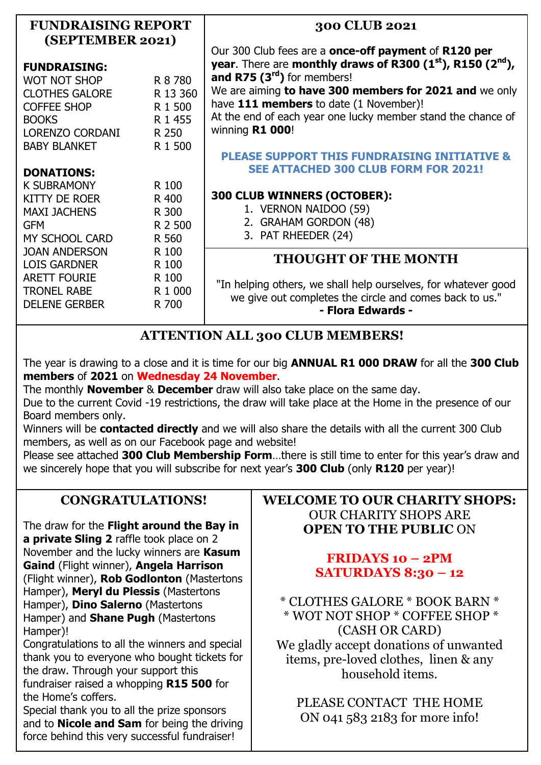| <b>FUNDRAISING REPORT</b><br>(SEPTEMBER 2021)                                                                                                                           |                                                                 | 300 CLUB 2021                                                                                                                                                                                                                                                                                                                                                                   |
|-------------------------------------------------------------------------------------------------------------------------------------------------------------------------|-----------------------------------------------------------------|---------------------------------------------------------------------------------------------------------------------------------------------------------------------------------------------------------------------------------------------------------------------------------------------------------------------------------------------------------------------------------|
| <b>FUNDRAISING:</b><br><b>WOT NOT SHOP</b><br><b>CLOTHES GALORE</b><br><b>COFFEE SHOP</b><br><b>BOOKS</b>                                                               | R 8 780<br>R 13 360<br>R 1 500<br>R 1 455                       | Our 300 Club fees are a <b>once-off payment</b> of <b>R120 per</b><br>year. There are monthly draws of R300 (1 <sup>st</sup> ), R150 (2 <sup>nd</sup> ),<br>and R75 $(3rd)$ for members!<br>We are aiming to have 300 members for 2021 and we only<br>have 111 members to date (1 November)!<br>At the end of each year one lucky member stand the chance of<br>winning R1 000! |
| <b>LORENZO CORDANI</b><br><b>BABY BLANKET</b><br><b>DONATIONS:</b><br><b>K SUBRAMONY</b><br>KITTY DE ROER<br><b>MAXI JACHENS</b><br><b>GFM</b><br><b>MY SCHOOL CARD</b> | R 250<br>R 1 500<br>R 100<br>R 400<br>R 300<br>R 2 500<br>R 560 | <b>PLEASE SUPPORT THIS FUNDRAISING INITIATIVE &amp;</b><br><b>SEE ATTACHED 300 CLUB FORM FOR 2021!</b><br>300 CLUB WINNERS (OCTOBER):<br>1. VERNON NAIDOO (59)<br>2. GRAHAM GORDON (48)<br>3. PAT RHEEDER (24)                                                                                                                                                                  |
| <b>JOAN ANDERSON</b><br><b>LOIS GARDNER</b><br><b>ARETT FOURIE</b><br><b>TRONEL RABE</b><br><b>DELENE GERBER</b>                                                        | R 100<br>R 100<br>R 100<br>R 1 000<br>R 700                     | <b>THOUGHT OF THE MONTH</b><br>"In helping others, we shall help ourselves, for whatever good<br>we give out completes the circle and comes back to us."<br>- Flora Edwards -                                                                                                                                                                                                   |

# **ATTENTION ALL 300 CLUB MEMBERS!**

The year is drawing to a close and it is time for our big **ANNUAL R1 000 DRAW** for all the **300 Club members** of **2021** on **Wednesday 24 November**.

The monthly **November** & **December** draw will also take place on the same day.

Due to the current Covid -19 restrictions, the draw will take place at the Home in the presence of our Board members only.

Winners will be **contacted directly** and we will also share the details with all the current 300 Club members, as well as on our Facebook page and website!

Please see attached **300 Club Membership Form**…there is still time to enter for this year's draw and we sincerely hope that you will subscribe for next year's **300 Club** (only **R120** per year)!

## **CONGRATULATIONS!**

The draw for the **Flight around the Bay in a private Sling 2** raffle took place on 2 November and the lucky winners are **Kasum Gaind** (Flight winner), **Angela Harrison** (Flight winner), **Rob Godlonton** (Mastertons Hamper), **Meryl du Plessis** (Mastertons Hamper), **Dino Salerno** (Mastertons Hamper) and **Shane Pugh** (Mastertons Hamper)!

Congratulations to all the winners and special thank you to everyone who bought tickets for the draw. Through your support this fundraiser raised a whopping **R15 500** for the Home's coffers.

Special thank you to all the prize sponsors and to **Nicole and Sam** for being the driving force behind this very successful fundraiser!

#### **WELCOME TO OUR CHARITY SHOPS:** OUR CHARITY SHOPS ARE **OPEN TO THE PUBLIC** ON

### **FRIDAYS 10 – 2PM SATURDAYS 8:30 – 12**

\* CLOTHES GALORE \* BOOK BARN \* \* WOT NOT SHOP \* COFFEE SHOP \* (CASH OR CARD) We gladly accept donations of unwanted items, pre-loved clothes, linen & any household items.

### PLEASE CONTACT THE HOME ON 041 583 2183 for more info!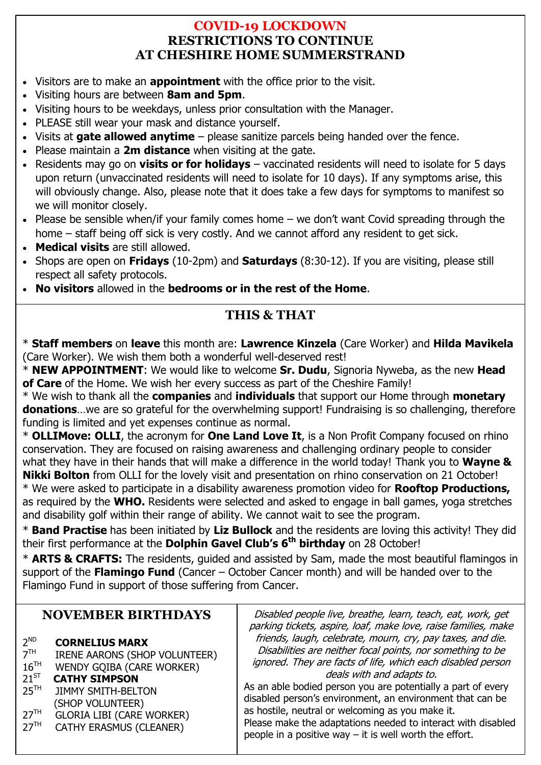### **COVID-19 LOCKDOWN RESTRICTIONS TO CONTINUE AT CHESHIRE HOME SUMMERSTRAND**

- Visitors are to make an **appointment** with the office prior to the visit.
- Visiting hours are between **8am and 5pm**.
- Visiting hours to be weekdays, unless prior consultation with the Manager.
- PLEASE still wear your mask and distance yourself.
- Visits at **gate allowed anytime** please sanitize parcels being handed over the fence.
- Please maintain a **2m distance** when visiting at the gate.
- Residents may go on **visits or for holidays** vaccinated residents will need to isolate for 5 days upon return (unvaccinated residents will need to isolate for 10 days). If any symptoms arise, this will obviously change. Also, please note that it does take a few days for symptoms to manifest so we will monitor closely.
- Please be sensible when/if your family comes home  $-$  we don't want Covid spreading through the home – staff being off sick is very costly. And we cannot afford any resident to get sick.
- **Medical visits** are still allowed.
- Shops are open on **Fridays** (10-2pm) and **Saturdays** (8:30-12). If you are visiting, please still respect all safety protocols.
- **No visitors** allowed in the **bedrooms or in the rest of the Home**.

# **THIS & THAT**

\* **Staff members** on **leave** this month are: **Lawrence Kinzela** (Care Worker) and **Hilda Mavikela** (Care Worker). We wish them both a wonderful well-deserved rest!

\* **NEW APPOINTMENT**: We would like to welcome **Sr. Dudu**, Signoria Nyweba, as the new **Head of Care** of the Home. We wish her every success as part of the Cheshire Family!

\* We wish to thank all the **companies** and **individuals** that support our Home through **monetary donations**…we are so grateful for the overwhelming support! Fundraising is so challenging, therefore funding is limited and yet expenses continue as normal.

\* **OLLIMove: OLLI**, the acronym for **One Land Love It**, is a Non Profit Company focused on rhino conservation. They are focused on raising awareness and challenging ordinary people to consider what they have in their hands that will make a difference in the world today! Thank you to **Wayne &** 

**Nikki Bolton** from OLLI for the lovely visit and presentation on rhino conservation on 21 October! \* We were asked to participate in a disability awareness promotion video for **Rooftop Productions,**  as required by the **WHO.** Residents were selected and asked to engage in ball games, yoga stretches and disability golf within their range of ability. We cannot wait to see the program.

\* **Band Practise** has been initiated by **Liz Bullock** and the residents are loving this activity! They did their first performance at the **Dolphin Gavel Club's 6 th birthday** on 28 October!

\* **ARTS & CRAFTS:** The residents, guided and assisted by Sam, made the most beautiful flamingos in support of the **Flamingo Fund** (Cancer – October Cancer month) and will be handed over to the Flamingo Fund in support of those suffering from Cancer.

# **NOVEMBER BIRTHDAYS**

| 2 <sup>ND</sup>  | <b>CORNELIUS MARX</b>            |
|------------------|----------------------------------|
| 7 <sup>TH</sup>  | IRENE AARONS (SHOP VOLUNTEER)    |
| $16^{TH}$        | <b>WENDY GOIBA (CARE WORKER)</b> |
| $21^{ST}$        | <b>CATHY SIMPSON</b>             |
| 25 <sup>TH</sup> | <b>JIMMY SMITH-BELTON</b>        |
|                  | (SHOP VOLUNTEER)                 |
| 27 <sup>TH</sup> | <b>GLORIA LIBI (CARE WORKER)</b> |
| $\neg$ $\neg$ TH | $CATIN$ $TPLICMI C$ $CURRITD$    |

 $27$ CATHY ERASMUS (CLEANER)

Disabled people live, breathe, learn, teach, eat, work, get parking tickets, aspire, loaf, make love, raise families, make friends, laugh, celebrate, mourn, cry, pay taxes, and die. Disabilities are neither focal points, nor something to be ignored. They are facts of life, which each disabled person deals with and adapts to.

As an able bodied person you are potentially a part of every disabled person's environment, an environment that can be as hostile, neutral or welcoming as you make it. Please make the adaptations needed to interact with disabled people in a positive way – it is well worth the effort.